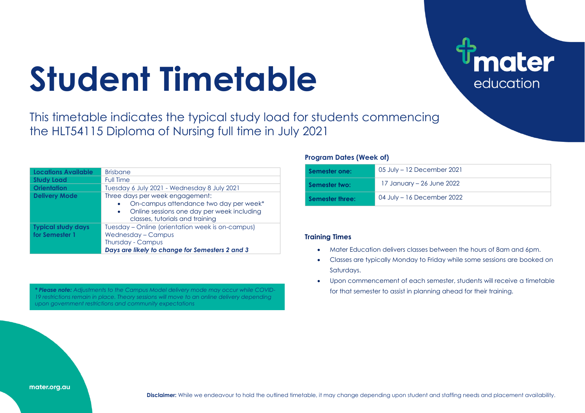# **Student Timetable**

This timetable indicates the typical study load for students commencing the HLT54115 Diploma of Nursing full time in July 2021

| Locations Available                         | <b>Brisbane</b>                                                                                                                                                         |
|---------------------------------------------|-------------------------------------------------------------------------------------------------------------------------------------------------------------------------|
| <b>Study Load</b>                           | <b>Full Time</b>                                                                                                                                                        |
| <b>Orientation</b>                          | Tuesday 6 July 2021 - Wednesday 8 July 2021                                                                                                                             |
| <b>Delivery Mode</b>                        | Three days per week engagement:<br>On-campus attendance two day per week*<br>Online sessions one day per week including<br>$\bullet$<br>classes, tutorials and training |
| <b>Typical study days</b><br>for Semester 1 | Tuesday - Online (orientation week is on-campus)<br><b>Wednesday - Campus</b><br>Thursday - Campus<br>Days are likely to change for Semesters 2 and 3                   |

\* Please note: Adjustments to the Campus Model delivery mode may occur while COVID-<br> **\* Please note:** Adjustments to the Campus Model delivery mode may occur while COVID-*19 restrictions remain in place. Theory sessions will move to an online delivery depending upon government restrictions and community expectations*

### **Program Dates (Week of)**

| Semester one:   | 05 July – 12 December 2021 |
|-----------------|----------------------------|
| Semester two:   | 17 January – 26 June 2022  |
| Semester three: | 04 July - 16 December 2022 |

**ater** 

education

## **Training Times**

- Mater Education delivers classes between the hours of 8am and 6pm.
- Classes are typically Monday to Friday while some sessions are booked on Saturdays.
- Upon commencement of each semester, students will receive a timetable

#### mater.org.au